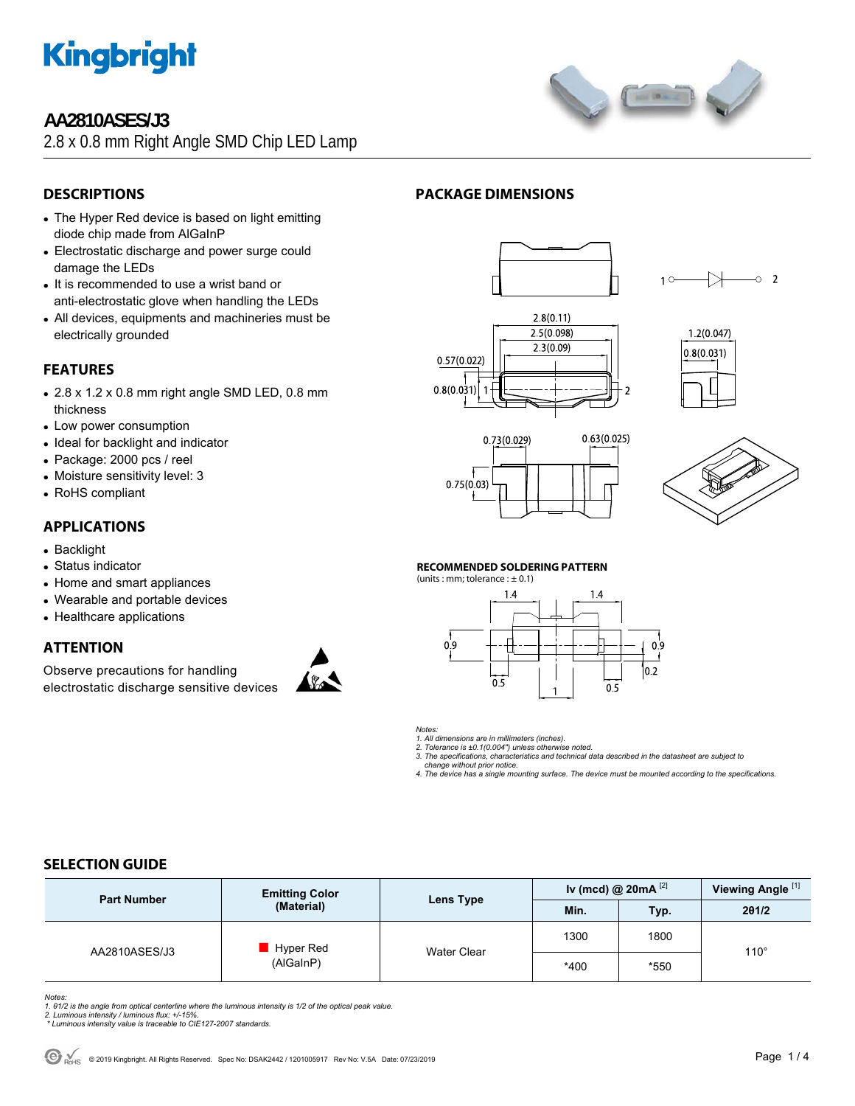

### **AA2810ASES/J3**

2.8 x 0.8 mm Right Angle SMD Chip LED Lamp



- The Hyper Red device is based on light emitting diode chip made from AlGaInP
- Electrostatic discharge and power surge could damage the LEDs
- It is recommended to use a wrist band or anti-electrostatic glove when handling the LEDs
- All devices, equipments and machineries must be electrically grounded

### **FEATURES**

- $\bullet$  2.8 x 1.2 x 0.8 mm right angle SMD LED, 0.8 mm thickness
- Low power consumption
- Ideal for backlight and indicator
- Package: 2000 pcs / reel
- Moisture sensitivity level: 3
- RoHS compliant

#### **APPLICATIONS**

- Backlight
- Status indicator
- Home and smart appliances
- Wearable and portable devices
- Healthcare applications

#### **ATTENTION**

Observe precautions for handling electrostatic discharge sensitive devices

















#### **RECOMMENDED SOLDERING PATTERN**

(units : mm; tolerance :  $\pm$  0.1)



*Notes:* 

*1. All dimensions are in millimeters (inches). 2. Tolerance is ±0.1(0.004") unless otherwise noted.* 

*3. The specifications, characteristics and technical data described in the datasheet are subject to* 

 *change without prior notice. 4. The device has a single mounting surface. The device must be mounted according to the specifications.* 

#### **SELECTION GUIDE**

| <b>Part Number</b> | <b>Emitting Color</b>  |             | Iv (mcd) @ 20mA $^{[2]}$ |      | Viewing Angle <sup>[1]</sup> |  |
|--------------------|------------------------|-------------|--------------------------|------|------------------------------|--|
|                    | (Material)             | Lens Type   | Min.                     | Typ. | 201/2                        |  |
| AA2810ASES/J3      | Hyper Red<br>(AlGaInP) | Water Clear | 1300                     | 1800 | $110^\circ$                  |  |
|                    |                        |             | *400                     | *550 |                              |  |

*Notes:* 

1. 01/2 is the angle from optical centerline where the luminous intensity is 1/2 of the optical peak value.<br>2. Luminous intensity / luminous flux: +/-15%.<br>\* Luminous intensity value is traceable to CIE127-2007 standards.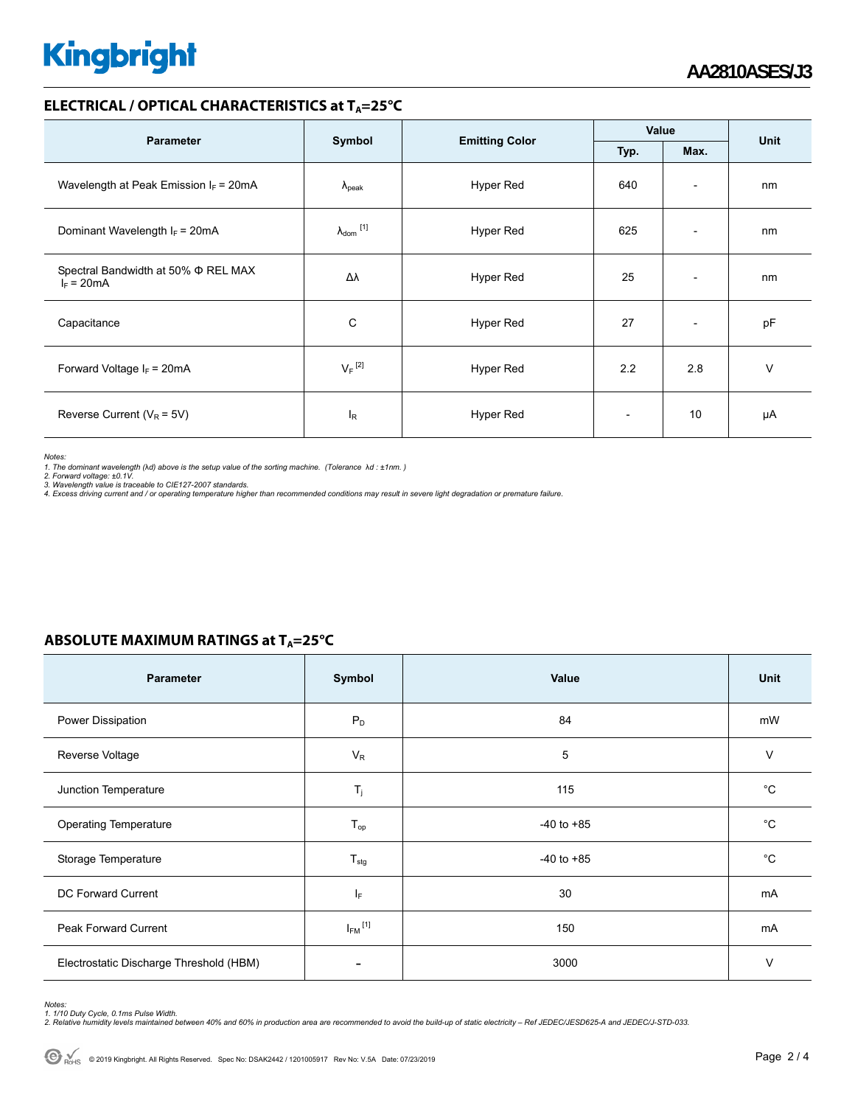# **Kingbright**

#### **ELECTRICAL / OPTICAL CHARACTERISTICS at T<sub>A</sub>=25°C**

| <b>Parameter</b>                                         | Symbol                     |                       | Value |                          |             |
|----------------------------------------------------------|----------------------------|-----------------------|-------|--------------------------|-------------|
|                                                          |                            | <b>Emitting Color</b> | Typ.  | Max.                     | <b>Unit</b> |
| Wavelength at Peak Emission $I_F$ = 20mA                 | $\lambda_{\rm peak}$       | Hyper Red             | 640   | $\overline{\phantom{a}}$ | nm          |
| Dominant Wavelength $I_F = 20 \text{mA}$                 | $\lambda_{\text{dom}}$ [1] | Hyper Red             | 625   | $\overline{\phantom{a}}$ | nm          |
| Spectral Bandwidth at 50% $\Phi$ REL MAX<br>$I_F = 20mA$ | Δλ                         | Hyper Red             | 25    | $\overline{\phantom{a}}$ | nm          |
| Capacitance                                              | C                          | Hyper Red             | 27    | $\overline{\phantom{a}}$ | pF          |
| Forward Voltage $I_F = 20mA$                             | $V_F$ <sup>[2]</sup>       | Hyper Red             | 2.2   | 2.8                      | $\vee$      |
| Reverse Current ( $V_R$ = 5V)                            | l <sub>R</sub>             | Hyper Red             |       | 10                       | μA          |

*Notes:* 

1. The dominant wavelength (λd) above is the setup value of the sorting machine. (Tolerance λd : ±1nm. )<br>2. Forward voltage: ±0.1V.<br>3. Wavelength value is traceable to CIE127-2007 standards.<br>4. Excess driving current and

#### **ABSOLUTE MAXIMUM RATINGS at T<sub>A</sub>=25°C**

| <b>Parameter</b>                        | Symbol                   | Value          | Unit        |
|-----------------------------------------|--------------------------|----------------|-------------|
| Power Dissipation                       | $P_D$                    | 84             | mW          |
| Reverse Voltage                         | $V_R$                    | 5              | $\vee$      |
| Junction Temperature                    | $T_j$                    | 115            | $^{\circ}C$ |
| <b>Operating Temperature</b>            | $T_{op}$                 | $-40$ to $+85$ | $^{\circ}C$ |
| Storage Temperature                     | $T_{\text{stg}}$         | $-40$ to $+85$ | $^{\circ}C$ |
| DC Forward Current                      | ΙF                       | 30             | mA          |
| <b>Peak Forward Current</b>             | $I_{FM}$ <sup>[1]</sup>  | 150            | mA          |
| Electrostatic Discharge Threshold (HBM) | $\overline{\phantom{a}}$ | 3000           | V           |

*Notes:* 

1. 1/10 Duty Cycle, 0.1ms Pulse Width.<br>2. Relative humidity levels maintained between 40% and 60% in production area are recommended to avoid the build-up of static electricity – Ref JEDEC/JESD625-A and JEDEC/J-STD-033.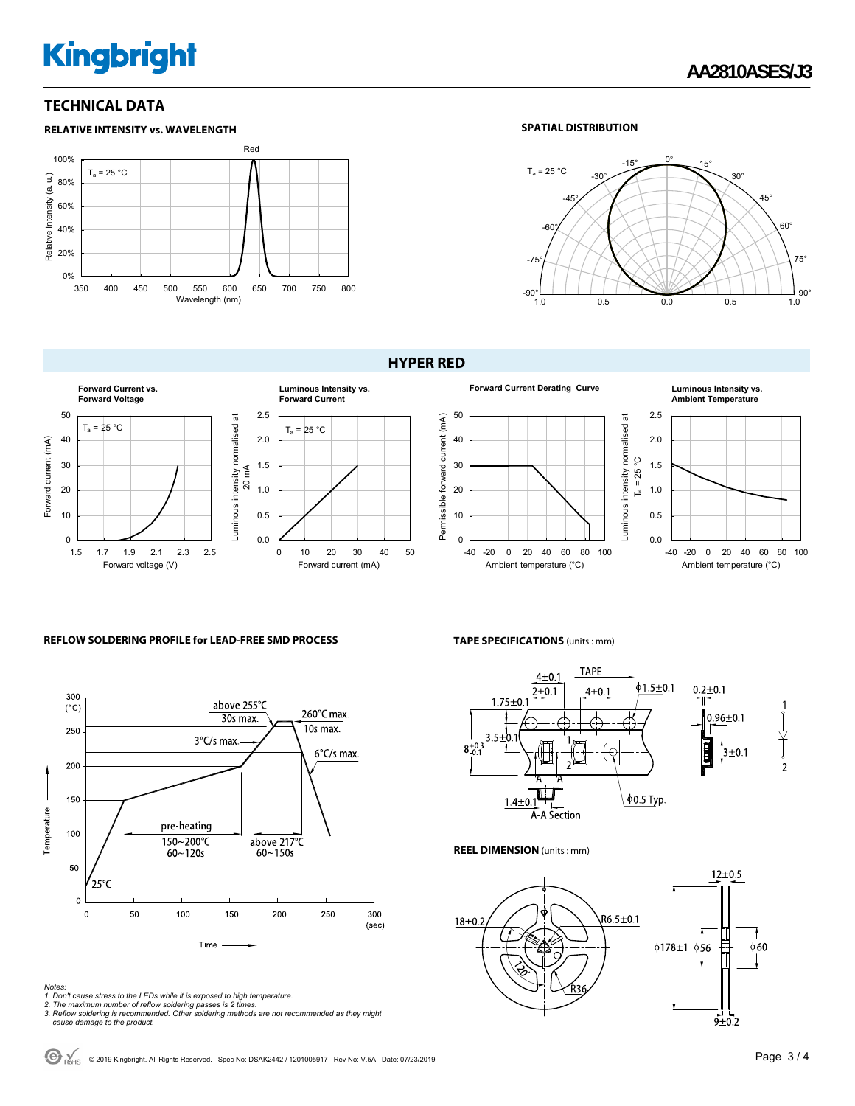# **Kingbright**

#### **TECHNICAL DATA**



#### **SPATIAL DISTRIBUTION**



#### **HYPER RED**









#### **REFLOW SOLDERING PROFILE for LEAD-FREE SMD PROCESS**



**TAPE SPECIFICATIONS** (units : mm)



**TAPE** 

#### **REEL DIMENSION** (units : mm)



- 
- 
- Notes:<br>1. Don't cause stress to the LEDs while it is exposed to high temperature.<br>2. The maximum number of reflow soldering passes is 2 times.<br>3. Reflow soldering is recommended. Other soldering methods are not recommended